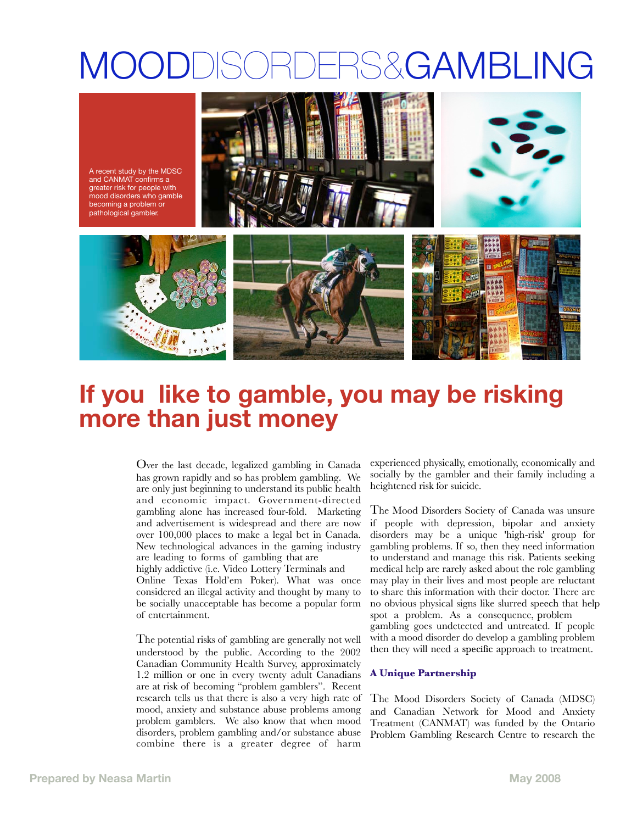# MOODDISORDERS&GAMBLING

A recent study by the MDSC and CANMAT confirms a greater risk for people with mood disorders who gamble becoming a problem or pathological gambler.







# **If you like to gamble, you may be risking more than just money!**

Over the last decade, legalized gambling in Canada has grown rapidly and so has problem gambling. We are only just beginning to understand its public health and economic impact. Government-directed gambling alone has increased four-fold. Marketing and advertisement is widespread and there are now over 100,000 places to make a legal bet in Canada. New technological advances in the gaming industry are leading to forms of gambling that are

highly addictive (i.e. Video Lottery Terminals and Online Texas Hold'em Poker). What was once considered an illegal activity and thought by many to be socially unacceptable has become a popular form of entertainment.

The potential risks of gambling are generally not well understood by the public. According to the 2002 Canadian Community Health Survey, approximately 1.2 million or one in every twenty adult Canadians are at risk of becoming "problem gamblers". Recent research tells us that there is also a very high rate of mood, anxiety and substance abuse problems among problem gamblers. We also know that when mood disorders, problem gambling and/or substance abuse combine there is a greater degree of harm

experienced physically, emotionally, economically and socially by the gambler and their family including a heightened risk for suicide.

The Mood Disorders Society of Canada was unsure if people with depression, bipolar and anxiety disorders may be a unique 'high-risk' group for gambling problems. If so, then they need information to understand and manage this risk. Patients seeking medical help are rarely asked about the role gambling may play in their lives and most people are reluctant to share this information with their doctor. There are no obvious physical signs like slurred speech that help spot a problem. As a consequence, problem gambling goes undetected and untreated. If people with a mood disorder do develop a gambling problem then they will need a specific approach to treatment.

# **A Unique Partnership**

The Mood Disorders Society of Canada (MDSC) and Canadian Network for Mood and Anxiety Treatment (CANMAT) was funded by the Ontario Problem Gambling Research Centre to research the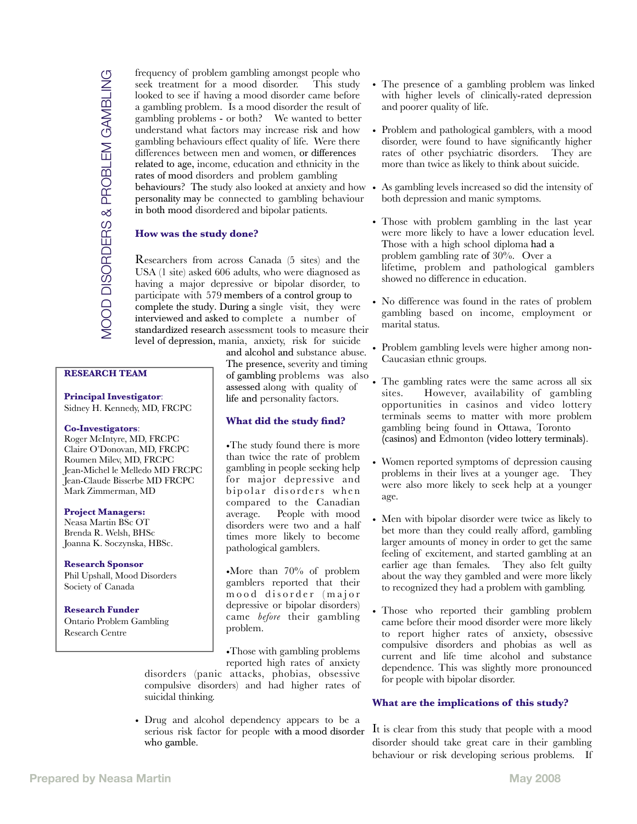frequency of problem gambling amongst people who seek treatment for a mood disorder. This study looked to see if having a mood disorder came before a gambling problem. Is a mood disorder the result of gambling problems - or both? We wanted to better understand what factors may increase risk and how gambling behaviours effect quality of life. Were there differences between men and women, or differences related to age, income, education and ethnicity in the rates of mood disorders and problem gambling behaviours? The study also looked at anxiety and how personality may be connected to gambling behaviour in both mood disordered and bipolar patients.

## **How was the study done?**

Researchers from across Canada (5 sites) and the USA (1 site) asked 606 adults, who were diagnosed as having a major depressive or bipolar disorder, to participate with 579 members of a control group to complete the study. During a single visit, they were interviewed and asked to complete a number of standardized research assessment tools to measure their level of depression, mania, anxiety, risk for suicide

# **RESEARCH TEAM**

 **Principal Investigator**: Sidney H. Kennedy, MD, FRCPC

#### **Co-Investigators**:

 Roger McIntyre, MD, FRCPC Claire O'Donovan, MD, FRCPC Roumen Milev, MD, FRCPC Jean-Michel le Melledo MD FRCPC Jean-Claude Bisserbe MD FRCPC Mark Zimmerman, MD

#### **Project Managers:**

 Neasa Martin BSc OT Brenda R. Welsh, BHSc Joanna K. Soczynska, HBSc.

#### **Research Sponsor**

 Phil Upshall, Mood Disorders Society of Canada

 **Research Funder** Ontario Problem Gambling Research Centre

and alcohol and substance abuse. The presence, severity and timing of gambling problems was also assessed along with quality of life and personality factors.

### **What did the study find?**

•The study found there is more than twice the rate of problem gambling in people seeking help for major depressive and bipolar disorders when compared to the Canadian average. People with mood disorders were two and a half times more likely to become pathological gamblers.

•More than 70% of problem gamblers reported that their mood disorder (major depressive or bipolar disorders) came *before* their gambling problem.

•Those with gambling problems reported high rates of anxiety

disorders (panic attacks, phobias, obsessive compulsive disorders) and had higher rates of suicidal thinking.

• Drug and alcohol dependency appears to be a serious risk factor for people with a mood disorder who gamble.

- The presence of a gambling problem was linked with higher levels of clinically-rated depression and poorer quality of life.
- Problem and pathological gamblers, with a mood disorder, were found to have significantly higher rates of other psychiatric disorders. They are more than twice as likely to think about suicide.
- As gambling levels increased so did the intensity of both depression and manic symptoms.
- Those with problem gambling in the last year were more likely to have a lower education level. Those with a high school diploma had a problem gambling rate of 30%. Over a lifetime, problem and pathological gamblers showed no difference in education.
- No difference was found in the rates of problem gambling based on income, employment or marital status.
- Problem gambling levels were higher among non-Caucasian ethnic groups.
- The gambling rates were the same across all six<br>sites. However, availability of gambling However, availability of gambling opportunities in casinos and video lottery terminals seems to matter with more problem gambling being found in Ottawa, Toronto (casinos) and Edmonton (video lottery terminals).
- Women reported symptoms of depression causing problems in their lives at a younger age. They were also more likely to seek help at a younger age.
- Men with bipolar disorder were twice as likely to bet more than they could really afford, gambling larger amounts of money in order to get the same feeling of excitement, and started gambling at an earlier age than females. They also felt guilty about the way they gambled and were more likely to recognized they had a problem with gambling.
- Those who reported their gambling problem came before their mood disorder were more likely to report higher rates of anxiety, obsessive compulsive disorders and phobias as well as current and life time alcohol and substance dependence. This was slightly more pronounced for people with bipolar disorder.

#### **What are the implications of this study?**

It is clear from this study that people with a mood disorder should take great care in their gambling behaviour or risk developing serious problems. If